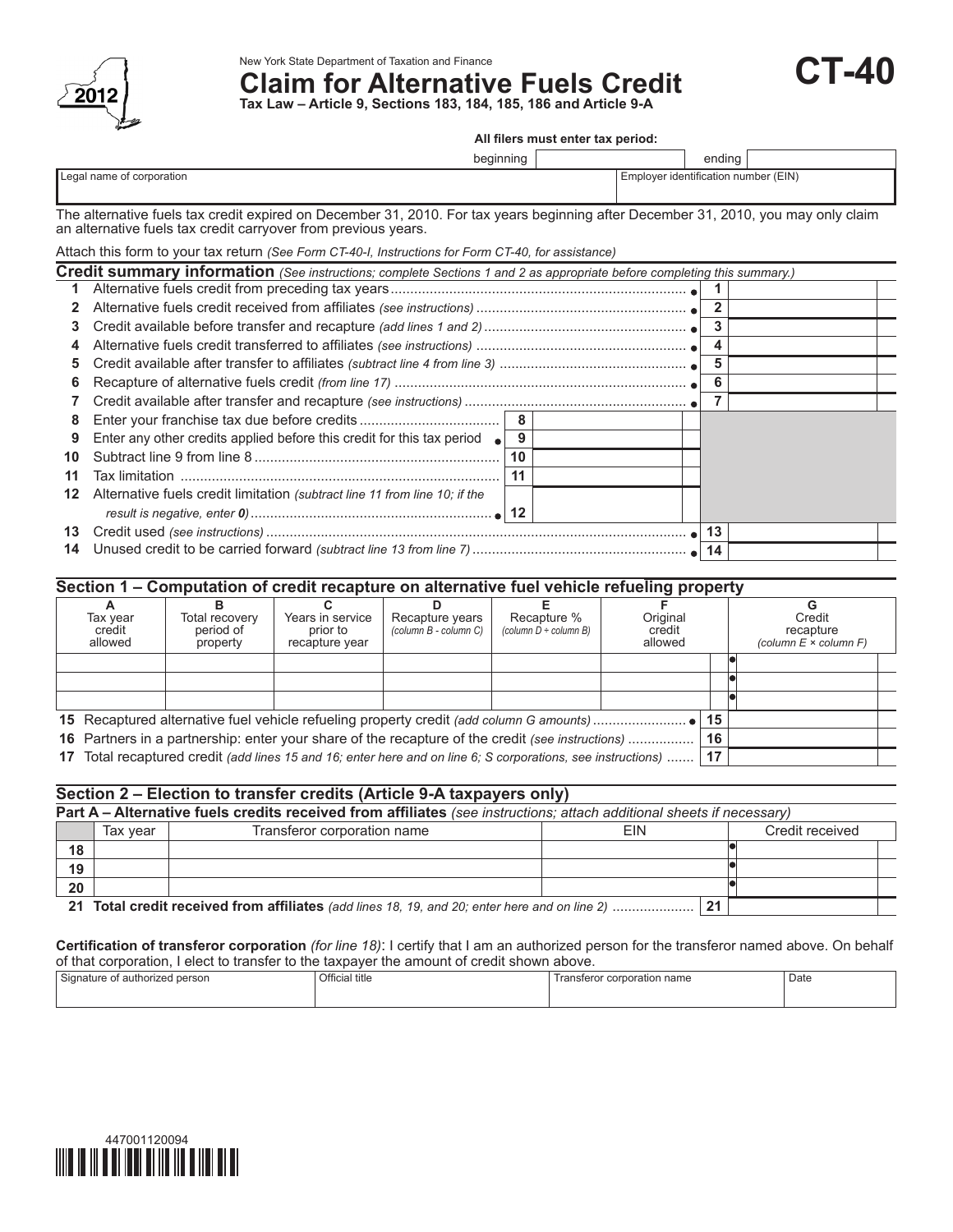

New York State Department of Taxation and Finance

# **Claim for Alternative Fuels Credit**

**CT-40**

**Tax Law – Article 9, Sections 183, 184, 185, 186 and Article 9‑A**

#### **All filers must enter tax period:**

|                           | beginning | ending                               |
|---------------------------|-----------|--------------------------------------|
| Legal name of corporation |           | Employer identification number (EIN) |

The alternative fuels tax credit expired on December 31, 2010. For tax years beginning after December 31, 2010, you may only claim an alternative fuels tax credit carryover from previous years.

|    | Attach this form to your tax return (See Form CT-40-I, Instructions for Form CT-40, for assistance)                     |    |  |              |  |
|----|-------------------------------------------------------------------------------------------------------------------------|----|--|--------------|--|
|    | Credit summary information (See instructions; complete Sections 1 and 2 as appropriate before completing this summary.) |    |  |              |  |
|    |                                                                                                                         |    |  |              |  |
| 2  |                                                                                                                         |    |  | $\mathbf{2}$ |  |
| 3. |                                                                                                                         |    |  | 3            |  |
| 4  |                                                                                                                         |    |  |              |  |
| 5. |                                                                                                                         |    |  | 5            |  |
| 6  |                                                                                                                         |    |  | 6            |  |
|    |                                                                                                                         |    |  |              |  |
| 8  |                                                                                                                         | 8  |  |              |  |
|    | Enter any other credits applied before this credit for this tax period $\bullet$                                        | 9  |  |              |  |
| 10 |                                                                                                                         | 10 |  |              |  |
| 11 | Tax limitation                                                                                                          | 11 |  |              |  |
| 12 | Alternative fuels credit limitation (subtract line 11 from line 10; if the                                              |    |  |              |  |
|    |                                                                                                                         |    |  |              |  |
| 13 |                                                                                                                         |    |  | 13           |  |
| 14 |                                                                                                                         |    |  | 14           |  |
|    |                                                                                                                         |    |  |              |  |

# **Section 1 – Computation of credit recapture on alternative fuel vehicle refueling property**

| Tax year<br>credit<br>allowed | Total recovery<br>period of<br>property                                                                   | Years in service<br>prior to<br>recapture year | Recapture years<br>(column B - column C) | Recapture %<br>(column $D \div$ column B) | Original<br>credit<br>allowed |    |    | Credit<br>recapture<br>(column $E \times$ column $F$ ) |  |
|-------------------------------|-----------------------------------------------------------------------------------------------------------|------------------------------------------------|------------------------------------------|-------------------------------------------|-------------------------------|----|----|--------------------------------------------------------|--|
|                               |                                                                                                           |                                                |                                          |                                           |                               |    |    |                                                        |  |
|                               |                                                                                                           |                                                |                                          |                                           |                               |    |    |                                                        |  |
|                               |                                                                                                           |                                                |                                          |                                           |                               |    |    |                                                        |  |
|                               |                                                                                                           |                                                |                                          |                                           |                               |    | 15 |                                                        |  |
|                               | 16 Partners in a partnership: enter your share of the recapture of the credit (see instructions)          |                                                |                                          |                                           |                               |    |    |                                                        |  |
| 17                            | Total recaptured credit (add lines 15 and 16; enter here and on line 6; S corporations, see instructions) |                                                |                                          |                                           |                               | 17 |    |                                                        |  |

### **Section 2 – Election to transfer credits (Article 9-A taxpayers only)**

|    | Part A – Alternative fuels credits received from affiliates (see instructions; attach additional sheets if necessary) |                                                                                               |            |    |                 |  |  |  |
|----|-----------------------------------------------------------------------------------------------------------------------|-----------------------------------------------------------------------------------------------|------------|----|-----------------|--|--|--|
|    | Tax vear                                                                                                              | Transferor corporation name                                                                   | <b>FIN</b> |    | Credit received |  |  |  |
| 18 |                                                                                                                       |                                                                                               |            |    |                 |  |  |  |
| 19 |                                                                                                                       |                                                                                               |            |    |                 |  |  |  |
| 20 |                                                                                                                       |                                                                                               |            |    |                 |  |  |  |
|    |                                                                                                                       | 21 Total credit received from affiliates (add lines 18, 19, and 20; enter here and on line 2) |            | 21 |                 |  |  |  |

#### **Certification of transferor corporation** *(for line 18)*: I certify that I am an authorized person for the transferor named above. On behalf of that corporation, I elect to transfer to the taxpayer the amount of credit shown above.

| -<br>authorized<br>person<br>N∩n⊱<br>nature of<br>. | Official title<br>. | name<br>$\sim$<br>ation<br>corpor<br><b>Harisleft</b> o, | Date |
|-----------------------------------------------------|---------------------|----------------------------------------------------------|------|
|                                                     |                     |                                                          |      |